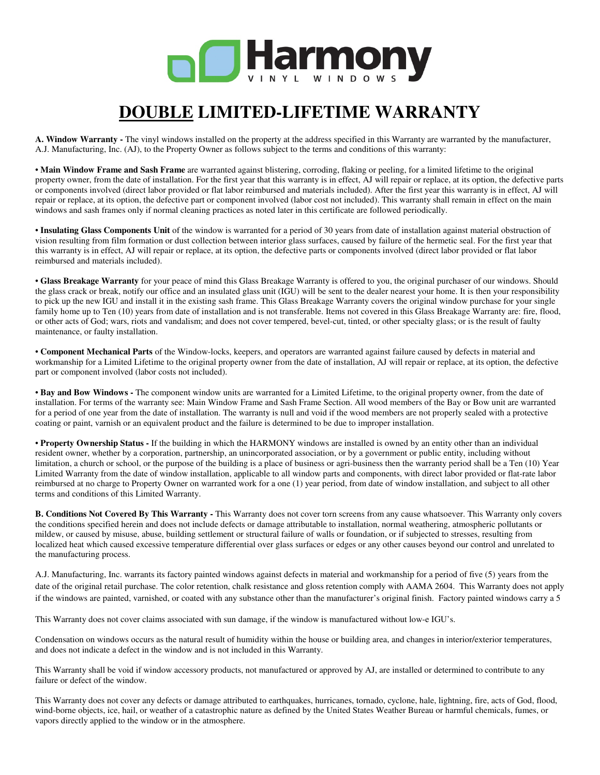

# **DOUBLE LIMITED-LIFETIME WARRANTY**

**A. Window Warranty -** The vinyl windows installed on the property at the address specified in this Warranty are warranted by the manufacturer, A.J. Manufacturing, Inc. (AJ), to the Property Owner as follows subject to the terms and conditions of this warranty:

• **Main Window Frame and Sash Frame** are warranted against blistering, corroding, flaking or peeling, for a limited lifetime to the original property owner, from the date of installation. For the first year that this warranty is in effect, AJ will repair or replace, at its option, the defective parts or components involved (direct labor provided or flat labor reimbursed and materials included). After the first year this warranty is in effect, AJ will repair or replace, at its option, the defective part or component involved (labor cost not included). This warranty shall remain in effect on the main windows and sash frames only if normal cleaning practices as noted later in this certificate are followed periodically.

• **Insulating Glass Components Unit** of the window is warranted for a period of 30 years from date of installation against material obstruction of vision resulting from film formation or dust collection between interior glass surfaces, caused by failure of the hermetic seal. For the first year that this warranty is in effect, AJ will repair or replace, at its option, the defective parts or components involved (direct labor provided or flat labor reimbursed and materials included).

• **Glass Breakage Warranty** for your peace of mind this Glass Breakage Warranty is offered to you, the original purchaser of our windows. Should the glass crack or break, notify our office and an insulated glass unit (IGU) will be sent to the dealer nearest your home. It is then your responsibility to pick up the new IGU and install it in the existing sash frame. This Glass Breakage Warranty covers the original window purchase for your single family home up to Ten (10) years from date of installation and is not transferable. Items not covered in this Glass Breakage Warranty are: fire, flood, or other acts of God; wars, riots and vandalism; and does not cover tempered, bevel-cut, tinted, or other specialty glass; or is the result of faulty maintenance, or faulty installation.

• **Component Mechanical Parts** of the Window-locks, keepers, and operators are warranted against failure caused by defects in material and workmanship for a Limited Lifetime to the original property owner from the date of installation, AJ will repair or replace, at its option, the defective part or component involved (labor costs not included).

• **Bay and Bow Windows -** The component window units are warranted for a Limited Lifetime, to the original property owner, from the date of installation. For terms of the warranty see: Main Window Frame and Sash Frame Section. All wood members of the Bay or Bow unit are warranted for a period of one year from the date of installation. The warranty is null and void if the wood members are not properly sealed with a protective coating or paint, varnish or an equivalent product and the failure is determined to be due to improper installation.

• **Property Ownership Status -** If the building in which the HARMONY windows are installed is owned by an entity other than an individual resident owner, whether by a corporation, partnership, an unincorporated association, or by a government or public entity, including without limitation, a church or school, or the purpose of the building is a place of business or agri-business then the warranty period shall be a Ten (10) Year Limited Warranty from the date of window installation, applicable to all window parts and components, with direct labor provided or flat-rate labor reimbursed at no charge to Property Owner on warranted work for a one (1) year period, from date of window installation, and subject to all other terms and conditions of this Limited Warranty.

**B. Conditions Not Covered By This Warranty -** This Warranty does not cover torn screens from any cause whatsoever. This Warranty only covers the conditions specified herein and does not include defects or damage attributable to installation, normal weathering, atmospheric pollutants or mildew, or caused by misuse, abuse, building settlement or structural failure of walls or foundation, or if subjected to stresses, resulting from localized heat which caused excessive temperature differential over glass surfaces or edges or any other causes beyond our control and unrelated to the manufacturing process.

A.J. Manufacturing, Inc. warrants its factory painted windows against defects in material and workmanship for a period of five (5) years from the date of the original retail purchase. The color retention, chalk resistance and gloss retention comply with AAMA 2604. This Warranty does not apply if the windows are painted, varnished, or coated with any substance other than the manufacturer's original finish. Factory painted windows carry a 5

This Warranty does not cover claims associated with sun damage, if the window is manufactured without low-e IGU's.

Condensation on windows occurs as the natural result of humidity within the house or building area, and changes in interior/exterior temperatures, and does not indicate a defect in the window and is not included in this Warranty.

This Warranty shall be void if window accessory products, not manufactured or approved by AJ, are installed or determined to contribute to any failure or defect of the window.

This Warranty does not cover any defects or damage attributed to earthquakes, hurricanes, tornado, cyclone, hale, lightning, fire, acts of God, flood, wind-borne objects, ice, hail, or weather of a catastrophic nature as defined by the United States Weather Bureau or harmful chemicals, fumes, or vapors directly applied to the window or in the atmosphere.